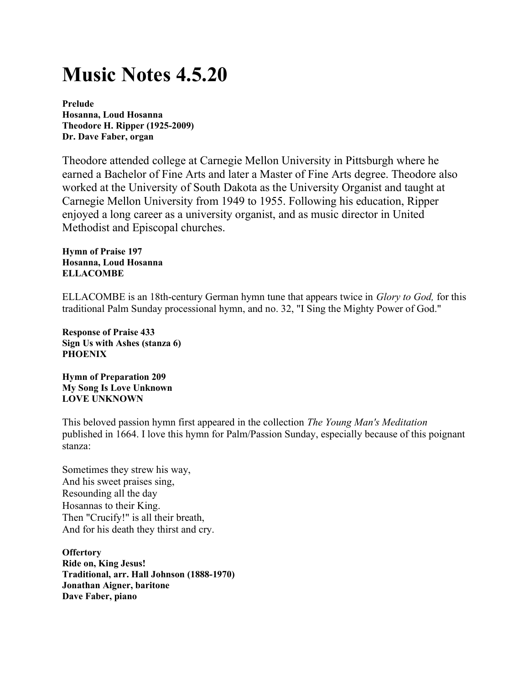## Music Notes 4.5.20

Prelude Hosanna, Loud Hosanna Theodore H. Ripper (1925-2009) Dr. Dave Faber, organ

Theodore attended college at Carnegie Mellon University in Pittsburgh where he earned a Bachelor of Fine Arts and later a Master of Fine Arts degree. Theodore also worked at the University of South Dakota as the University Organist and taught at Carnegie Mellon University from 1949 to 1955. Following his education, Ripper enjoyed a long career as a university organist, and as music director in United Methodist and Episcopal churches.

Hymn of Praise 197 Hosanna, Loud Hosanna ELLACOMBE

ELLACOMBE is an 18th-century German hymn tune that appears twice in Glory to God, for this traditional Palm Sunday processional hymn, and no. 32, "I Sing the Mighty Power of God."

Response of Praise 433 Sign Us with Ashes (stanza 6) **PHOENIX** 

Hymn of Preparation 209 My Song Is Love Unknown LOVE UNKNOWN

This beloved passion hymn first appeared in the collection The Young Man's Meditation published in 1664. I love this hymn for Palm/Passion Sunday, especially because of this poignant stanza:

Sometimes they strew his way, And his sweet praises sing, Resounding all the day Hosannas to their King. Then "Crucify!" is all their breath, And for his death they thirst and cry.

**Offertory** Ride on, King Jesus! Traditional, arr. Hall Johnson (1888-1970) Jonathan Aigner, baritone Dave Faber, piano